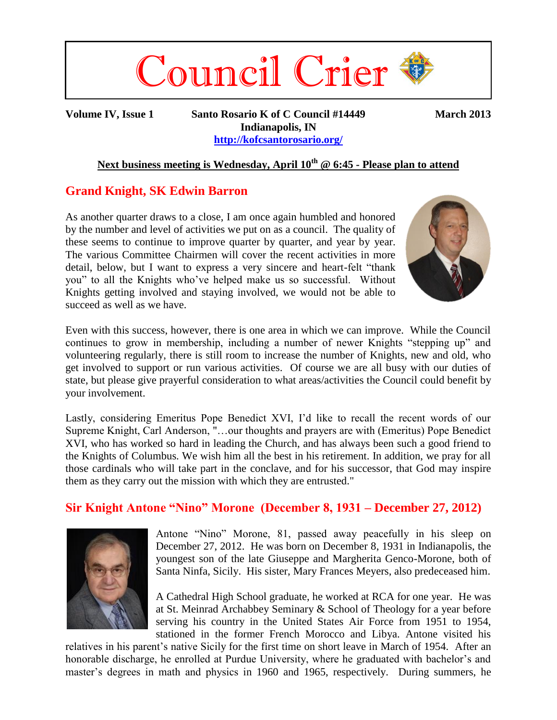

**Volume IV, Issue 1 Santo Rosario K of C Council #14449 March 2013 Indianapolis, IN <http://kofcsantorosario.org/>**

### **Next business meeting is Wednesday, April 10th @ 6:45 - Please plan to attend**

### **Grand Knight, SK Edwin Barron**

As another quarter draws to a close, I am once again humbled and honored by the number and level of activities we put on as a council. The quality of these seems to continue to improve quarter by quarter, and year by year. The various Committee Chairmen will cover the recent activities in more detail, below, but I want to express a very sincere and heart-felt "thank you" to all the Knights who've helped make us so successful. Without Knights getting involved and staying involved, we would not be able to succeed as well as we have.



Even with this success, however, there is one area in which we can improve. While the Council continues to grow in membership, including a number of newer Knights "stepping up" and volunteering regularly, there is still room to increase the number of Knights, new and old, who get involved to support or run various activities. Of course we are all busy with our duties of state, but please give prayerful consideration to what areas/activities the Council could benefit by your involvement.

Lastly, considering Emeritus Pope Benedict XVI, I'd like to recall the recent words of our Supreme Knight, Carl Anderson, "…our thoughts and prayers are with (Emeritus) Pope Benedict XVI, who has worked so hard in leading the Church, and has always been such a good friend to the Knights of Columbus. We wish him all the best in his retirement. In addition, we pray for all those cardinals who will take part in the conclave, and for his successor, that God may inspire them as they carry out the mission with which they are entrusted."

### **Sir Knight Antone "Nino" Morone (December 8, 1931 – December 27, 2012)**



Antone "Nino" Morone, 81, passed away peacefully in his sleep on December 27, 2012. He was born on December 8, 1931 in Indianapolis, the youngest son of the late Giuseppe and Margherita Genco-Morone, both of Santa Ninfa, Sicily. His sister, Mary Frances Meyers, also predeceased him.

A Cathedral High School graduate, he worked at RCA for one year. He was at St. Meinrad Archabbey Seminary & School of Theology for a year before serving his country in the United States Air Force from 1951 to 1954, stationed in the former French Morocco and Libya. Antone visited his

relatives in his parent's native Sicily for the first time on short leave in March of 1954. After an honorable discharge, he enrolled at Purdue University, where he graduated with bachelor's and master's degrees in math and physics in 1960 and 1965, respectively. During summers, he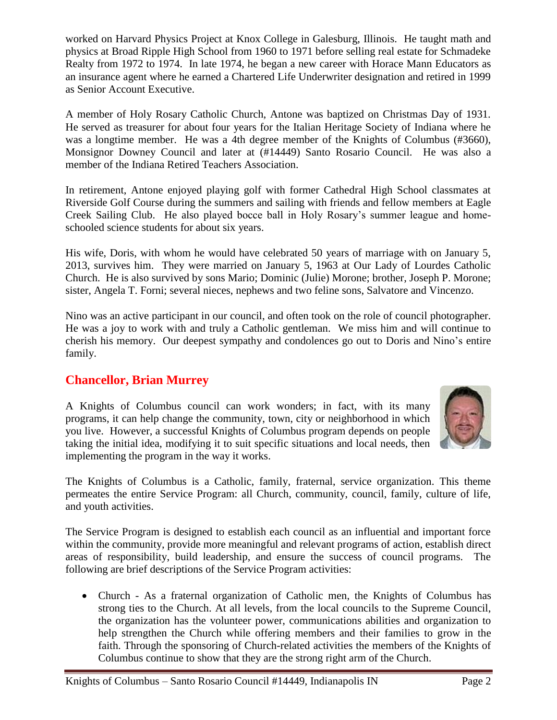worked on Harvard Physics Project at Knox College in Galesburg, Illinois. He taught math and physics at Broad Ripple High School from 1960 to 1971 before selling real estate for Schmadeke Realty from 1972 to 1974. In late 1974, he began a new career with Horace Mann Educators as an insurance agent where he earned a Chartered Life Underwriter designation and retired in 1999 as Senior Account Executive.

A member of Holy Rosary Catholic Church, Antone was baptized on Christmas Day of 1931. He served as treasurer for about four years for the Italian Heritage Society of Indiana where he was a longtime member. He was a 4th degree member of the Knights of Columbus (#3660), Monsignor Downey Council and later at (#14449) Santo Rosario Council. He was also a member of the Indiana Retired Teachers Association.

In retirement, Antone enjoyed playing golf with former Cathedral High School classmates at Riverside Golf Course during the summers and sailing with friends and fellow members at Eagle Creek Sailing Club. He also played bocce ball in Holy Rosary's summer league and homeschooled science students for about six years.

His wife, Doris, with whom he would have celebrated 50 years of marriage with on January 5, 2013, survives him. They were married on January 5, 1963 at Our Lady of Lourdes Catholic Church. He is also survived by sons Mario; Dominic (Julie) Morone; brother, Joseph P. Morone; sister, Angela T. Forni; several nieces, nephews and two feline sons, Salvatore and Vincenzo.

Nino was an active participant in our council, and often took on the role of council photographer. He was a joy to work with and truly a Catholic gentleman. We miss him and will continue to cherish his memory. Our deepest sympathy and condolences go out to Doris and Nino's entire family.

## **Chancellor, Brian Murrey**

A Knights of Columbus council can work wonders; in fact, with its many programs, it can help change the community, town, city or neighborhood in which you live. However, a successful Knights of Columbus program depends on people taking the initial idea, modifying it to suit specific situations and local needs, then implementing the program in the way it works.



The Knights of Columbus is a Catholic, family, fraternal, service organization. This theme permeates the entire Service Program: all Church, community, council, family, culture of life, and youth activities.

The Service Program is designed to establish each council as an influential and important force within the community, provide more meaningful and relevant programs of action, establish direct areas of responsibility, build leadership, and ensure the success of council programs. The following are brief descriptions of the Service Program activities:

 Church - As a fraternal organization of Catholic men, the Knights of Columbus has strong ties to the Church. At all levels, from the local councils to the Supreme Council, the organization has the volunteer power, communications abilities and organization to help strengthen the Church while offering members and their families to grow in the faith. Through the sponsoring of Church-related activities the members of the Knights of Columbus continue to show that they are the strong right arm of the Church.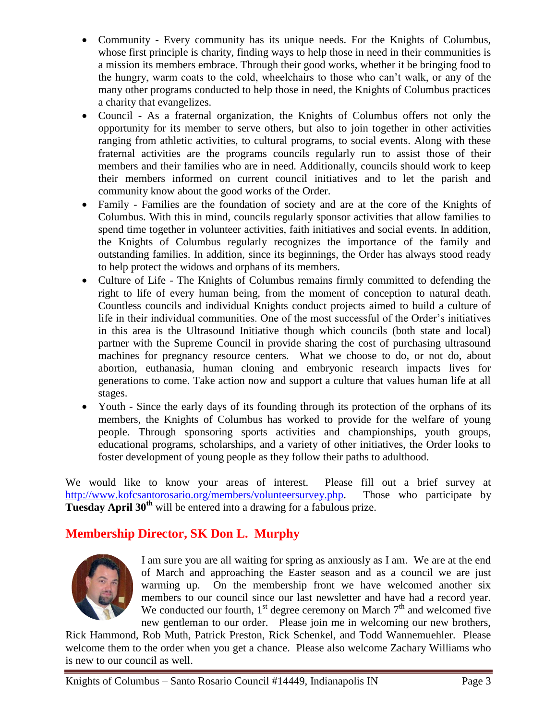- Community Every community has its unique needs. For the Knights of Columbus, whose first principle is charity, finding ways to help those in need in their communities is a mission its members embrace. Through their good works, whether it be bringing food to the hungry, warm coats to the cold, wheelchairs to those who can't walk, or any of the many other programs conducted to help those in need, the Knights of Columbus practices a charity that evangelizes.
- Council As a fraternal organization, the Knights of Columbus offers not only the opportunity for its member to serve others, but also to join together in other activities ranging from athletic activities, to cultural programs, to social events. Along with these fraternal activities are the programs councils regularly run to assist those of their members and their families who are in need. Additionally, councils should work to keep their members informed on current council initiatives and to let the parish and community know about the good works of the Order.
- Family Families are the foundation of society and are at the core of the Knights of Columbus. With this in mind, councils regularly sponsor activities that allow families to spend time together in volunteer activities, faith initiatives and social events. In addition, the Knights of Columbus regularly recognizes the importance of the family and outstanding families. In addition, since its beginnings, the Order has always stood ready to help protect the widows and orphans of its members.
- Culture of Life The Knights of Columbus remains firmly committed to defending the right to life of every human being, from the moment of conception to natural death. Countless councils and individual Knights conduct projects aimed to build a culture of life in their individual communities. One of the most successful of the Order's initiatives in this area is the Ultrasound Initiative though which councils (both state and local) partner with the Supreme Council in provide sharing the cost of purchasing ultrasound machines for pregnancy resource centers. What we choose to do, or not do, about abortion, euthanasia, human cloning and embryonic research impacts lives for generations to come. Take action now and support a culture that values human life at all stages.
- Youth Since the early days of its founding through its protection of the orphans of its members, the Knights of Columbus has worked to provide for the welfare of young people. Through sponsoring sports activities and championships, youth groups, educational programs, scholarships, and a variety of other initiatives, the Order looks to foster development of young people as they follow their paths to adulthood.

We would like to know your areas of interest. Please fill out a brief survey at [http://www.kofcsantorosario.org/members/volunteersurvey.php.](http://www.kofcsantorosario.org/members/volunteersurvey.php) Those who participate by **Tuesday April 30<sup>th</sup>** will be entered into a drawing for a fabulous prize.

# **Membership Director, SK Don L. Murphy**



I am sure you are all waiting for spring as anxiously as I am. We are at the end of March and approaching the Easter season and as a council we are just warming up. On the membership front we have welcomed another six members to our council since our last newsletter and have had a record year. We conducted our fourth,  $1<sup>st</sup>$  degree ceremony on March  $7<sup>th</sup>$  and welcomed five new gentleman to our order. Please join me in welcoming our new brothers,

Rick Hammond, Rob Muth, Patrick Preston, Rick Schenkel, and Todd Wannemuehler. Please welcome them to the order when you get a chance. Please also welcome Zachary Williams who is new to our council as well.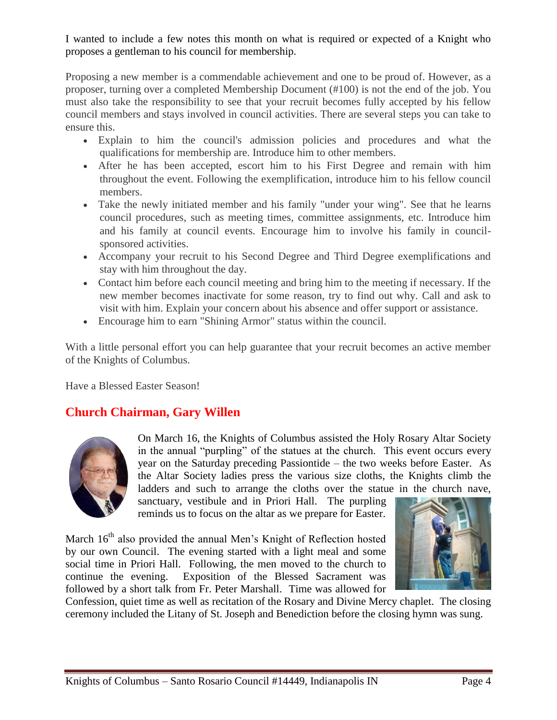I wanted to include a few notes this month on what is required or expected of a Knight who proposes a gentleman to his council for membership.

Proposing a new member is a commendable achievement and one to be proud of. However, as a proposer, turning over a completed Membership Document (#100) is not the end of the job. You must also take the responsibility to see that your recruit becomes fully accepted by his fellow council members and stays involved in council activities. There are several steps you can take to ensure this.

- Explain to him the council's admission policies and procedures and what the qualifications for membership are. Introduce him to other members.
- After he has been accepted, escort him to his First Degree and remain with him throughout the event. Following the exemplification, introduce him to his fellow council members.
- Take the newly initiated member and his family "under your wing". See that he learns council procedures, such as meeting times, committee assignments, etc. Introduce him and his family at council events. Encourage him to involve his family in councilsponsored activities.
- Accompany your recruit to his Second Degree and Third Degree exemplifications and stay with him throughout the day.
- Contact him before each council meeting and bring him to the meeting if necessary. If the new member becomes inactivate for some reason, try to find out why. Call and ask to visit with him. Explain your concern about his absence and offer support or assistance.
- Encourage him to earn "Shining Armor" status within the council.

With a little personal effort you can help guarantee that your recruit becomes an active member of the Knights of Columbus.

Have a Blessed Easter Season!

# **Church Chairman, Gary Willen**



On March 16, the Knights of Columbus assisted the Holy Rosary Altar Society in the annual "purpling" of the statues at the church. This event occurs every year on the Saturday preceding Passiontide – the two weeks before Easter. As the Altar Society ladies press the various size cloths, the Knights climb the ladders and such to arrange the cloths over the statue in the church nave,

sanctuary, vestibule and in Priori Hall. The purpling reminds us to focus on the altar as we prepare for Easter.

March 16<sup>th</sup> also provided the annual Men's Knight of Reflection hosted by our own Council. The evening started with a light meal and some social time in Priori Hall. Following, the men moved to the church to continue the evening. Exposition of the Blessed Sacrament was followed by a short talk from Fr. Peter Marshall. Time was allowed for



Confession, quiet time as well as recitation of the Rosary and Divine Mercy chaplet. The closing ceremony included the Litany of St. Joseph and Benediction before the closing hymn was sung.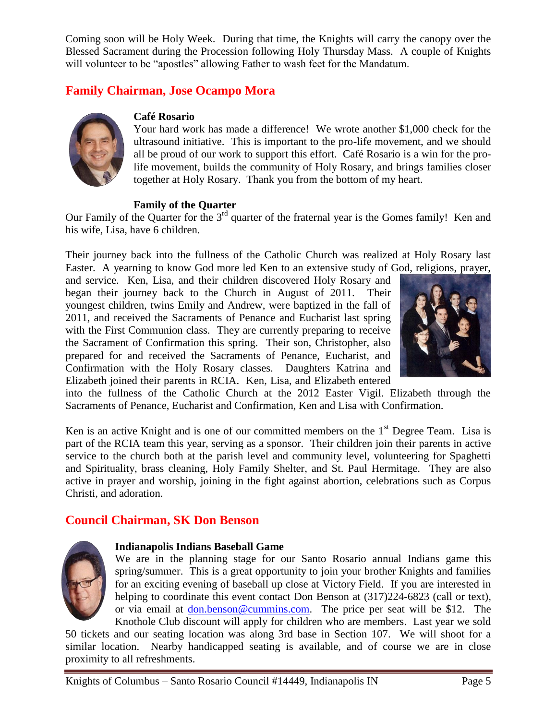Coming soon will be Holy Week. During that time, the Knights will carry the canopy over the Blessed Sacrament during the Procession following Holy Thursday Mass. A couple of Knights will volunteer to be "apostles" allowing Father to wash feet for the Mandatum.

## **Family Chairman, Jose Ocampo Mora**



#### **Café Rosario**

Your hard work has made a difference! We wrote another \$1,000 check for the ultrasound initiative. This is important to the pro-life movement, and we should all be proud of our work to support this effort. Café Rosario is a win for the prolife movement, builds the community of Holy Rosary, and brings families closer together at Holy Rosary. Thank you from the bottom of my heart.

#### **Family of the Quarter**

Our Family of the Quarter for the  $3<sup>rd</sup>$  quarter of the fraternal year is the Gomes family! Ken and his wife, Lisa, have 6 children.

Their journey back into the fullness of the Catholic Church was realized at Holy Rosary last Easter. A yearning to know God more led Ken to an extensive study of God, religions, prayer,

and service. Ken, Lisa, and their children discovered Holy Rosary and began their journey back to the Church in August of 2011. Their youngest children, twins Emily and Andrew, were baptized in the fall of 2011, and received the Sacraments of Penance and Eucharist last spring with the First Communion class. They are currently preparing to receive the Sacrament of Confirmation this spring. Their son, Christopher, also prepared for and received the Sacraments of Penance, Eucharist, and Confirmation with the Holy Rosary classes. Daughters Katrina and Elizabeth joined their parents in RCIA. Ken, Lisa, and Elizabeth entered



into the fullness of the Catholic Church at the 2012 Easter Vigil. Elizabeth through the Sacraments of Penance, Eucharist and Confirmation, Ken and Lisa with Confirmation.

Ken is an active Knight and is one of our committed members on the  $1<sup>st</sup>$  Degree Team. Lisa is part of the RCIA team this year, serving as a sponsor. Their children join their parents in active service to the church both at the parish level and community level, volunteering for Spaghetti and Spirituality, brass cleaning, Holy Family Shelter, and St. Paul Hermitage. They are also active in prayer and worship, joining in the fight against abortion, celebrations such as Corpus Christi, and adoration.

## **Council Chairman, SK Don Benson**



#### **Indianapolis Indians Baseball Game**

We are in the planning stage for our Santo Rosario annual Indians game this spring/summer. This is a great opportunity to join your brother Knights and families for an exciting evening of baseball up close at Victory Field. If you are interested in helping to coordinate this event contact Don Benson at (317)224-6823 (call or text), or via email at [don.benson@cummins.com.](mailto:don.benson@cummins.com) The price per seat will be \$12. The Knothole Club discount will apply for children who are members. Last year we sold

50 tickets and our seating location was along 3rd base in Section 107. We will shoot for a similar location. Nearby handicapped seating is available, and of course we are in close proximity to all refreshments.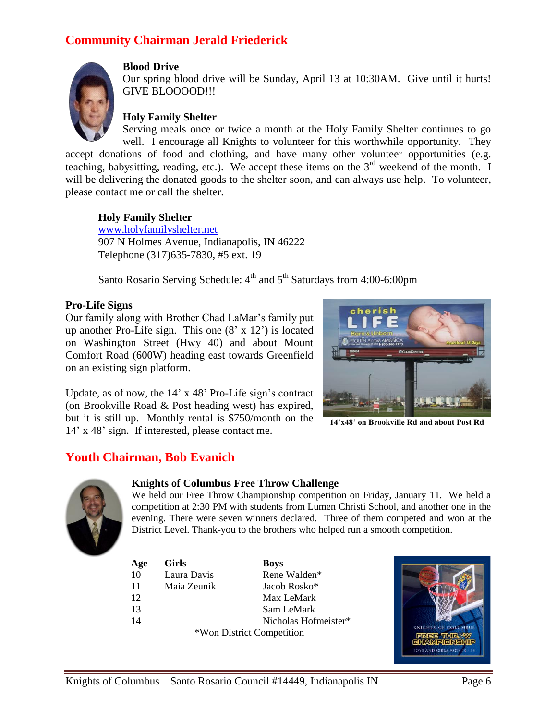## **Community Chairman Jerald Friederick**



#### **Blood Drive**

Our spring blood drive will be Sunday, April 13 at 10:30AM. Give until it hurts! GIVE BLOOOOD!!!

### **Holy Family Shelter**

Serving meals once or twice a month at the Holy Family Shelter continues to go well. I encourage all Knights to volunteer for this worthwhile opportunity. They accept donations of food and clothing, and have many other volunteer opportunities (e.g.

teaching, babysitting, reading, etc.). We accept these items on the 3<sup>rd</sup> weekend of the month. I will be delivering the donated goods to the shelter soon, and can always use help. To volunteer, please contact me or call the shelter.

#### **Holy Family Shelter**

[www.holyfamilyshelter.net](http://www.holyfamilyshelter.net/) 907 N Holmes Avenue, Indianapolis, IN 46222 Telephone (317)635-7830, #5 ext. 19

Santo Rosario Serving Schedule: 4<sup>th</sup> and 5<sup>th</sup> Saturdays from 4:00-6:00pm

#### **Pro-Life Signs**

Our family along with Brother Chad LaMar's family put up another Pro-Life sign. This one  $(8' \times 12')$  is located on Washington Street (Hwy 40) and about Mount Comfort Road (600W) heading east towards Greenfield on an existing sign platform.

Update, as of now, the 14' x 48' Pro-Life sign's contract (on Brookville Road & Post heading west) has expired, but it is still up. Monthly rental is \$750/month on the 14' x 48' sign. If interested, please contact me.



**14'x48' on Brookville Rd and about Post Rd**

## **Youth Chairman, Bob Evanich**



#### **Knights of Columbus Free Throw Challenge**

We held our Free Throw Championship competition on Friday, January 11. We held a competition at 2:30 PM with students from Lumen Christi School, and another one in the evening. There were seven winners declared. Three of them competed and won at the District Level. Thank-you to the brothers who helped run a smooth competition.

| Age                       | <b>Girls</b> | <b>Boys</b>          |  |
|---------------------------|--------------|----------------------|--|
| 10                        | Laura Davis  | Rene Walden*         |  |
| 11                        | Maia Zeunik  | Jacob Rosko*         |  |
| 12                        |              | Max LeMark           |  |
| 13                        |              | Sam LeMark           |  |
| 14                        |              | Nicholas Hofmeister* |  |
| *Won District Competition |              |                      |  |

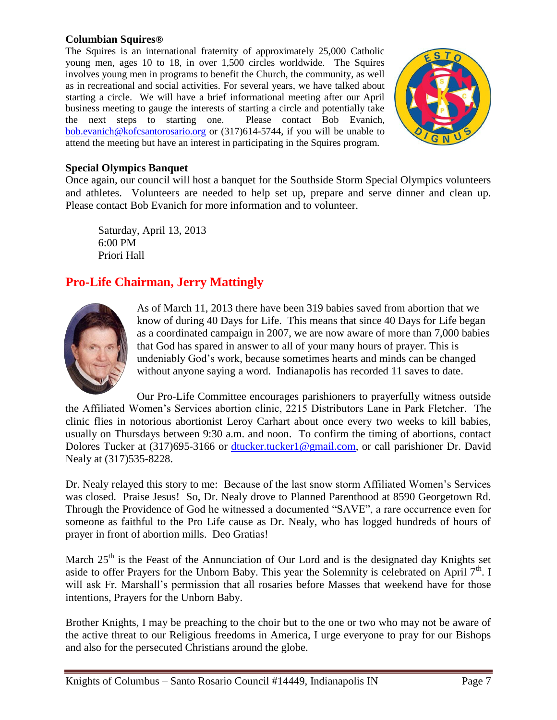#### **Columbian Squires®**

The Squires is an international fraternity of approximately 25,000 Catholic young men, ages 10 to 18, in over 1,500 circles worldwide. The Squires involves young men in programs to benefit the Church, the community, as well as in recreational and social activities. For several years, we have talked about starting a circle. We will have a brief informational meeting after our April business meeting to gauge the interests of starting a circle and potentially take the next steps to starting one. Please contact Bob Evanich, [bob.evanich@kofcsantorosario.org](mailto:bob.evanich@kofcsantorosario.org) or (317)614-5744, if you will be unable to attend the meeting but have an interest in participating in the Squires program.



### **Special Olympics Banquet**

Once again, our council will host a banquet for the Southside Storm Special Olympics volunteers and athletes. Volunteers are needed to help set up, prepare and serve dinner and clean up. Please contact Bob Evanich for more information and to volunteer.

Saturday, April 13, 2013 6:00 PM Priori Hall

## **Pro-Life Chairman, Jerry Mattingly**



As of March 11, 2013 there have been 319 babies saved from abortion that we know of during 40 Days for Life. This means that since 40 Days for Life began as a coordinated campaign in 2007, we are now aware of more than 7,000 babies that God has spared in answer to all of your many hours of prayer. This is undeniably God's work, because sometimes hearts and minds can be changed without anyone saying a word. Indianapolis has recorded 11 saves to date.

Our Pro-Life Committee encourages parishioners to prayerfully witness outside the Affiliated Women's Services abortion clinic, 2215 Distributors Lane in Park Fletcher. The clinic flies in notorious abortionist Leroy Carhart about once every two weeks to kill babies, usually on Thursdays between 9:30 a.m. and noon. To confirm the timing of abortions, contact Dolores Tucker at (317)695-3166 or [dtucker.tucker1@gmail.com,](mailto:dtucker.tucker1@gmail.com) or call parishioner Dr. David Nealy at (317)535-8228.

Dr. Nealy relayed this story to me: Because of the last snow storm Affiliated Women's Services was closed. Praise Jesus! So, Dr. Nealy drove to Planned Parenthood at 8590 Georgetown Rd. Through the Providence of God he witnessed a documented "SAVE", a rare occurrence even for someone as faithful to the Pro Life cause as Dr. Nealy, who has logged hundreds of hours of prayer in front of abortion mills. Deo Gratias!

March 25<sup>th</sup> is the Feast of the Annunciation of Our Lord and is the designated day Knights set aside to offer Prayers for the Unborn Baby. This year the Solemnity is celebrated on April  $7<sup>th</sup>$ . I will ask Fr. Marshall's permission that all rosaries before Masses that weekend have for those intentions, Prayers for the Unborn Baby.

Brother Knights, I may be preaching to the choir but to the one or two who may not be aware of the active threat to our Religious freedoms in America, I urge everyone to pray for our Bishops and also for the persecuted Christians around the globe.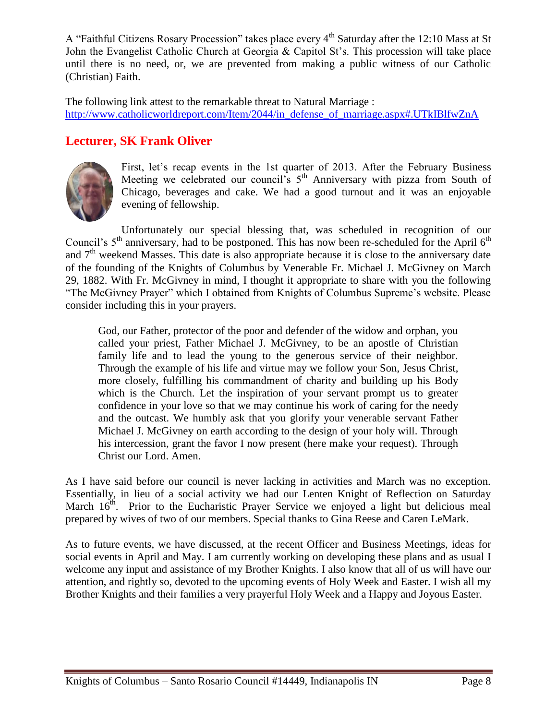A "Faithful Citizens Rosary Procession" takes place every 4<sup>th</sup> Saturday after the 12:10 Mass at St John the Evangelist Catholic Church at Georgia & Capitol St's. This procession will take place until there is no need, or, we are prevented from making a public witness of our Catholic (Christian) Faith.

The following link attest to the remarkable threat to Natural Marriage : [http://www.catholicworldreport.com/Item/2044/in\\_defense\\_of\\_marriage.aspx#.UTkIBlfwZnA](http://www.catholicworldreport.com/Item/2044/in_defense_of_marriage.aspx#.UTkIBlfwZnA)

## **Lecturer, SK Frank Oliver**



First, let's recap events in the 1st quarter of 2013. After the February Business Meeting we celebrated our council's  $5<sup>th</sup>$  Anniversary with pizza from South of Chicago, beverages and cake. We had a good turnout and it was an enjoyable evening of fellowship.

Unfortunately our special blessing that, was scheduled in recognition of our Council's  $5<sup>th</sup>$  anniversary, had to be postponed. This has now been re-scheduled for the April  $6<sup>th</sup>$ and  $7<sup>th</sup>$  weekend Masses. This date is also appropriate because it is close to the anniversary date of the founding of the Knights of Columbus by Venerable Fr. Michael J. McGivney on March 29, 1882. With Fr. McGivney in mind, I thought it appropriate to share with you the following "The McGivney Prayer" which I obtained from Knights of Columbus Supreme's website. Please consider including this in your prayers.

God, our Father, protector of the poor and defender of the widow and orphan, you called your priest, Father Michael J. McGivney, to be an apostle of Christian family life and to lead the young to the generous service of their neighbor. Through the example of his life and virtue may we follow your Son, Jesus Christ, more closely, fulfilling his commandment of charity and building up his Body which is the Church. Let the inspiration of your servant prompt us to greater confidence in your love so that we may continue his work of caring for the needy and the outcast. We humbly ask that you glorify your venerable servant Father Michael J. McGivney on earth according to the design of your holy will. Through his intercession, grant the favor I now present (here make your request). Through Christ our Lord. Amen.

As I have said before our council is never lacking in activities and March was no exception. Essentially, in lieu of a social activity we had our Lenten Knight of Reflection on Saturday March  $16<sup>th</sup>$ . Prior to the Eucharistic Prayer Service we enjoyed a light but delicious meal prepared by wives of two of our members. Special thanks to Gina Reese and Caren LeMark.

As to future events, we have discussed, at the recent Officer and Business Meetings, ideas for social events in April and May. I am currently working on developing these plans and as usual I welcome any input and assistance of my Brother Knights. I also know that all of us will have our attention, and rightly so, devoted to the upcoming events of Holy Week and Easter. I wish all my Brother Knights and their families a very prayerful Holy Week and a Happy and Joyous Easter.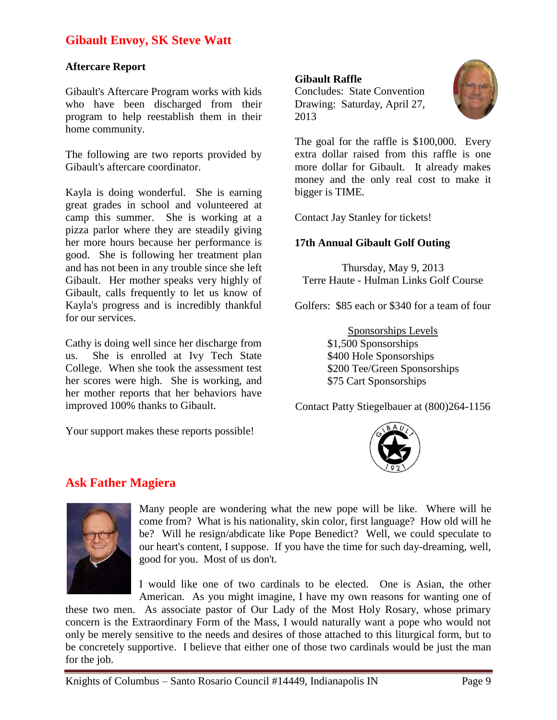## **Gibault Envoy, SK Steve Watt**

#### **Aftercare Report**

Gibault's Aftercare Program works with kids who have been discharged from their program to help reestablish them in their home community.

The following are two reports provided by Gibault's aftercare coordinator.

Kayla is doing wonderful. She is earning great grades in school and volunteered at camp this summer. She is working at a pizza parlor where they are steadily giving her more hours because her performance is good. She is following her treatment plan and has not been in any trouble since she left Gibault. Her mother speaks very highly of Gibault, calls frequently to let us know of Kayla's progress and is incredibly thankful for our services.

Cathy is doing well since her discharge from us. She is enrolled at Ivy Tech State College. When she took the assessment test her scores were high. She is working, and her mother reports that her behaviors have improved 100% thanks to Gibault.

Your support makes these reports possible!

#### **Gibault Raffle**

Concludes: State Convention Drawing: Saturday, April 27, 2013



The goal for the raffle is \$100,000. Every extra dollar raised from this raffle is one more dollar for Gibault. It already makes money and the only real cost to make it bigger is TIME.

Contact Jay Stanley for tickets!

### **17th Annual Gibault Golf Outing**

Thursday, May 9, 2013 Terre Haute - Hulman Links Golf Course

Golfers: \$85 each or \$340 for a team of four

Sponsorships Levels \$1,500 Sponsorships \$400 Hole Sponsorships \$200 Tee/Green Sponsorships \$75 Cart Sponsorships

Contact Patty Stiegelbauer at (800)264-1156



## **Ask Father Magiera**



Many people are wondering what the new pope will be like. Where will he come from? What is his nationality, skin color, first language? How old will he be? Will he resign/abdicate like Pope Benedict? Well, we could speculate to our heart's content, I suppose. If you have the time for such day-dreaming, well, good for you. Most of us don't.

I would like one of two cardinals to be elected. One is Asian, the other American. As you might imagine, I have my own reasons for wanting one of

these two men. As associate pastor of Our Lady of the Most Holy Rosary, whose primary concern is the Extraordinary Form of the Mass, I would naturally want a pope who would not only be merely sensitive to the needs and desires of those attached to this liturgical form, but to be concretely supportive. I believe that either one of those two cardinals would be just the man for the job.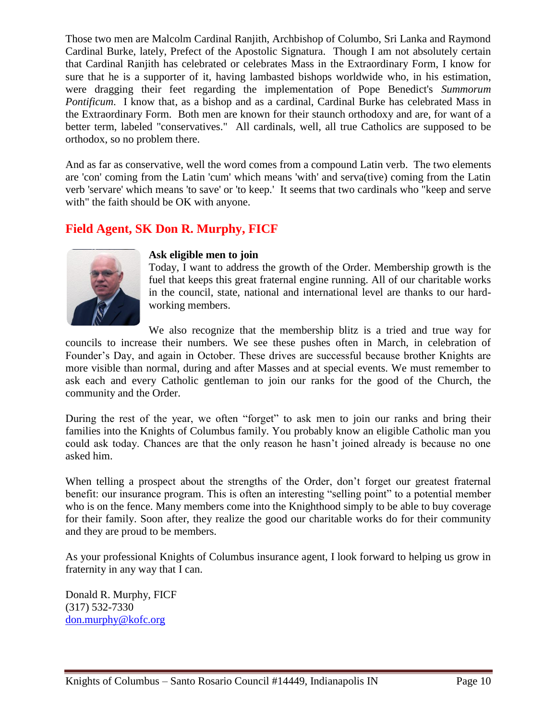Those two men are Malcolm Cardinal Ranjith, Archbishop of Columbo, Sri Lanka and Raymond Cardinal Burke, lately, Prefect of the Apostolic Signatura. Though I am not absolutely certain that Cardinal Ranjith has celebrated or celebrates Mass in the Extraordinary Form, I know for sure that he is a supporter of it, having lambasted bishops worldwide who, in his estimation, were dragging their feet regarding the implementation of Pope Benedict's *Summorum Pontificum*. I know that, as a bishop and as a cardinal, Cardinal Burke has celebrated Mass in the Extraordinary Form. Both men are known for their staunch orthodoxy and are, for want of a better term, labeled "conservatives." All cardinals, well, all true Catholics are supposed to be orthodox, so no problem there.

And as far as conservative, well the word comes from a compound Latin verb. The two elements are 'con' coming from the Latin 'cum' which means 'with' and serva(tive) coming from the Latin verb 'servare' which means 'to save' or 'to keep.' It seems that two cardinals who "keep and serve with" the faith should be OK with anyone.

## **Field Agent, SK Don R. Murphy, FICF**



#### **Ask eligible men to join**

Today, I want to address the growth of the Order. Membership growth is the fuel that keeps this great fraternal engine running. All of our charitable works in the council, state, national and international level are thanks to our hardworking members.

We also recognize that the membership blitz is a tried and true way for councils to increase their numbers. We see these pushes often in March, in celebration of Founder's Day, and again in October. These drives are successful because brother Knights are more visible than normal, during and after Masses and at special events. We must remember to ask each and every Catholic gentleman to join our ranks for the good of the Church, the community and the Order.

During the rest of the year, we often "forget" to ask men to join our ranks and bring their families into the Knights of Columbus family. You probably know an eligible Catholic man you could ask today. Chances are that the only reason he hasn't joined already is because no one asked him.

When telling a prospect about the strengths of the Order, don't forget our greatest fraternal benefit: our insurance program. This is often an interesting "selling point" to a potential member who is on the fence. Many members come into the Knighthood simply to be able to buy coverage for their family. Soon after, they realize the good our charitable works do for their community and they are proud to be members.

As your professional Knights of Columbus insurance agent, I look forward to helping us grow in fraternity in any way that I can.

Donald R. Murphy, FICF (317) 532-7330 [don.murphy@kofc.org](mailto:don.murphy@kofc.org)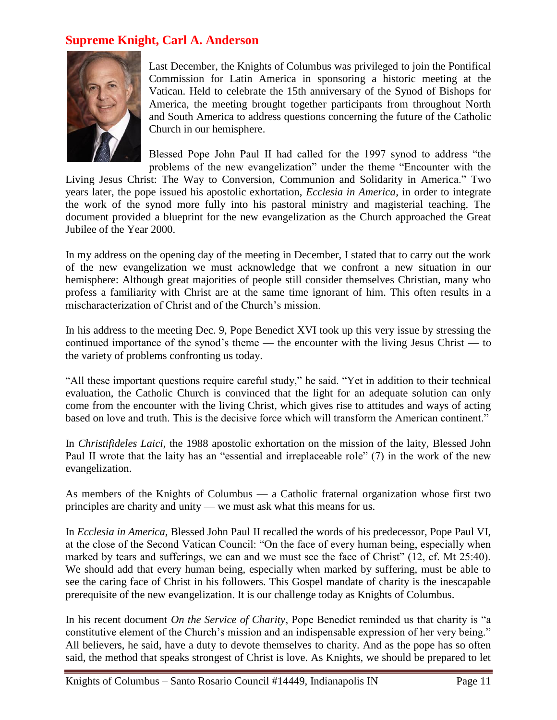## **Supreme Knight, Carl A. Anderson**



Last December, the Knights of Columbus was privileged to join the Pontifical Commission for Latin America in sponsoring a historic meeting at the Vatican. Held to celebrate the 15th anniversary of the Synod of Bishops for America, the meeting brought together participants from throughout North and South America to address questions concerning the future of the Catholic Church in our hemisphere.

Blessed Pope John Paul II had called for the 1997 synod to address "the problems of the new evangelization" under the theme "Encounter with the

Living Jesus Christ: The Way to Conversion, Communion and Solidarity in America." Two years later, the pope issued his apostolic exhortation, *Ecclesia in America*, in order to integrate the work of the synod more fully into his pastoral ministry and magisterial teaching. The document provided a blueprint for the new evangelization as the Church approached the Great Jubilee of the Year 2000.

In my address on the opening day of the meeting in December, I stated that to carry out the work of the new evangelization we must acknowledge that we confront a new situation in our hemisphere: Although great majorities of people still consider themselves Christian, many who profess a familiarity with Christ are at the same time ignorant of him. This often results in a mischaracterization of Christ and of the Church's mission.

In his address to the meeting Dec. 9, Pope Benedict XVI took up this very issue by stressing the continued importance of the synod's theme — the encounter with the living Jesus Christ — to the variety of problems confronting us today.

"All these important questions require careful study," he said. "Yet in addition to their technical evaluation, the Catholic Church is convinced that the light for an adequate solution can only come from the encounter with the living Christ, which gives rise to attitudes and ways of acting based on love and truth. This is the decisive force which will transform the American continent."

In *Christifideles Laici*, the 1988 apostolic exhortation on the mission of the laity, Blessed John Paul II wrote that the laity has an "essential and irreplaceable role" (7) in the work of the new evangelization.

As members of the Knights of Columbus — a Catholic fraternal organization whose first two principles are charity and unity — we must ask what this means for us.

In *Ecclesia in America*, Blessed John Paul II recalled the words of his predecessor, Pope Paul VI, at the close of the Second Vatican Council: "On the face of every human being, especially when marked by tears and sufferings, we can and we must see the face of Christ" (12, cf. Mt 25:40). We should add that every human being, especially when marked by suffering, must be able to see the caring face of Christ in his followers. This Gospel mandate of charity is the inescapable prerequisite of the new evangelization. It is our challenge today as Knights of Columbus.

In his recent document *On the Service of Charity*, Pope Benedict reminded us that charity is "a constitutive element of the Church's mission and an indispensable expression of her very being." All believers, he said, have a duty to devote themselves to charity. And as the pope has so often said, the method that speaks strongest of Christ is love. As Knights, we should be prepared to let